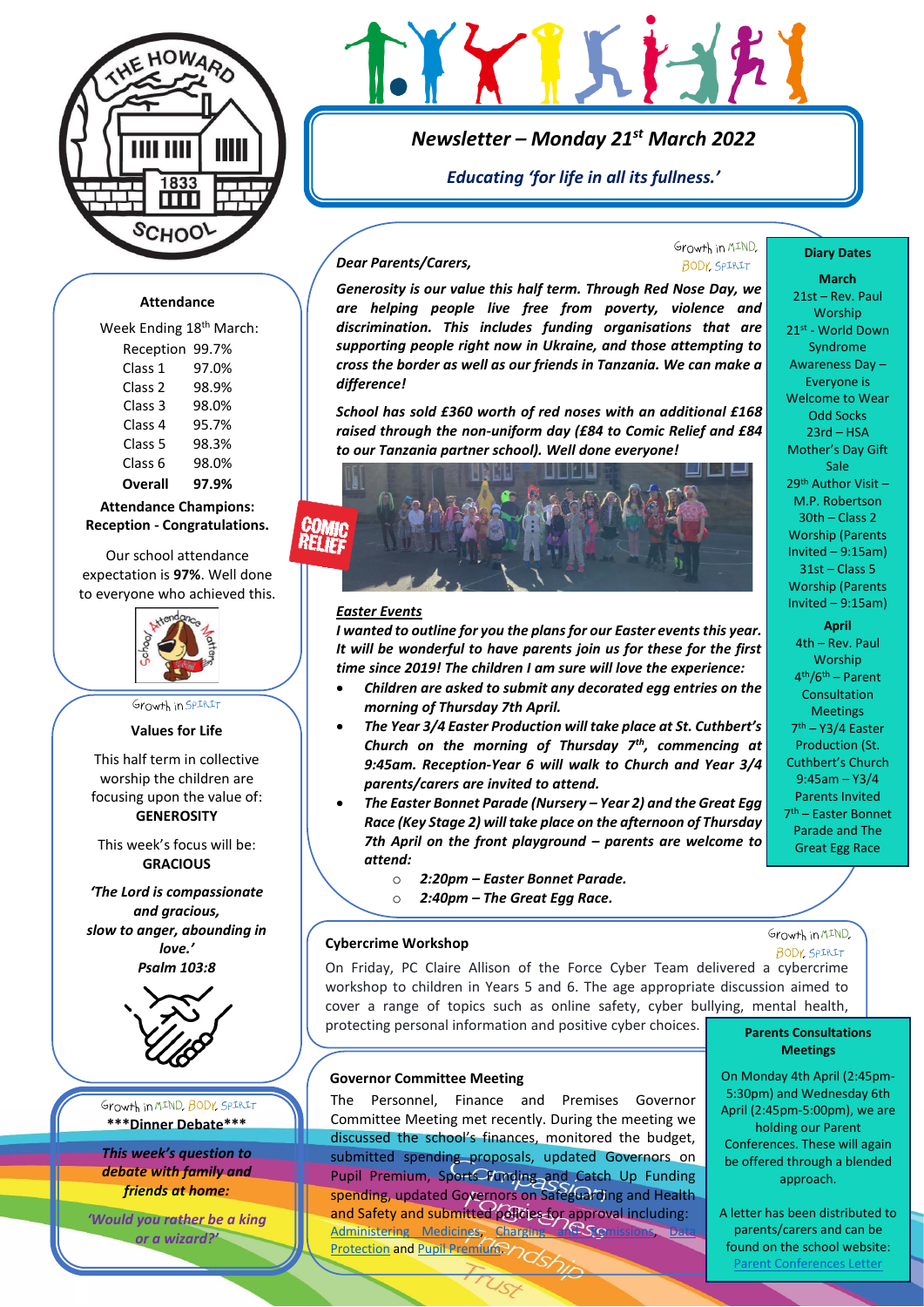

# GYXIKI-17

# *Newsletter – Monday 21st March 2022*

*Educating 'for life in all its fullness.'*

# *Dear Parents/Carers,*

Growth in MIND. BODY SPIRIT

# **Attendance**

Week Ending 18<sup>th</sup> March: Reception 99.7% Class 1 97.0% Class 2 98.9% Class 3 98.0% Class 4 95.7% Class 5 98.3% Class 6 98.0% **Overall 97.9%**

# **Attendance Champions: Reception - Congratulations.**

Our school attendance expectation is **97%**. Well done to everyone who achieved this.



Growth in SPIRIT

# **Values for Life**

This half term in collective worship the children are focusing upon the value of: **GENEROSITY**

This week's focus will be: **GRACIOUS**

*'The Lord is compassionate and gracious, slow to anger, abounding in love.' Psalm 103:8*



Growth in MIND, BODY, SPIRIT **\*\*\*Dinner Debate\*\*\***

*This week's question to debate with family and friends at home:* 

*'Would you rather be a king or a wizard?'*

*Generosity is our value this half term. Through Red Nose Day, we are helping people live free from poverty, violence and discrimination. This includes funding organisations that are supporting people right now in Ukraine, and those attempting to cross the border as well as our friends in Tanzania. We can make a difference!*

*School has sold £360 worth of red noses with an additional £168 raised through the non-uniform day (£84 to Comic Relief and £84 to our Tanzania partner school). Well done everyone!*



## *Easter Events*

*I wanted to outline for you the plans for our Easter events this year. It will be wonderful to have parents join us for these for the first time since 2019! The children I am sure will love the experience:*

- *Children are asked to submit any decorated egg entries on the morning of Thursday 7th April.*
- *The Year 3/4 Easter Production will take place at St. Cuthbert's Church on the morning of Thursday 7th, commencing at 9:45am. Reception-Year 6 will walk to Church and Year 3/4 parents/carers are invited to attend.*
- *The Easter Bonnet Parade (Nursery – Year 2) and the Great Egg Race (Key Stage 2) will take place on the afternoon of Thursday 7th April on the front playground – parents are welcome to attend:*
	- o *2:20pm – Easter Bonnet Parade.*
	- o *2:40pm – The Great Egg Race.*

## **Cybercrime Workshop**

On Friday, PC Claire Allison of the Force Cyber Team delivered a cybercrime workshop to children in Years 5 and 6. The age appropriate discussion aimed to cover a range of topics such as online safety, cyber bullying, mental health, protecting personal information and positive cyber choices.

#### **Governor Committee Meeting**

The Personnel, Finance and Premises Governor Committee Meeting met recently. During the meeting we discussed the school's finances, monitored the budget, submitted spending proposals, updated Governors on Pupil Premium, Sports Funding and Catch Up Funding spending, updated Governors on Safeguarding and Health and Safety and submitted policies for approval including: [Administering Medicines,](https://www.ackworthhowardschool.co.uk/sites/default/files/uploads/media/files/administering-medicines-2022.pdf) Charging and Semissions, Data [Protection](https://www.ackworthhowardschool.co.uk/sites/default/files/uploads/media/files/data-protection-policy-2022.pdf) an[d Pupil Premium.](https://www.ackworthhowardschool.co.uk/sites/default/files/uploads/media/files/pupil-premium-policy-2022.pdf)

#### **Diary Dates**

**March** 21st – Rev. Paul **Worship** 21st - World Down Syndrome Awareness Day – Everyone is Welcome to Wear Odd Socks 23rd – HSA Mother's Day Gift Sale 29th Author Visit – M.P. Robertson 30th – Class 2 Worship (Parents Invited – 9:15am) 31st – Class 5 Worship (Parents Invited – 9:15am)

**April** 4th – Rev. Paul **Worship** 4 th/6th – Parent Consultation **Meetings** 7 th – Y3/4 Easter Production (St. Cuthbert's Church 9:45am – Y3/4 Parents Invited 7 th – Easter Bonnet Parade and The Great Egg Race

Growth in MIND, **BODY, SPIRIT** 

# **Parents Consultations Meetings**

On Monday 4th April (2:45pm-5:30pm) and Wednesday 6th April (2:45pm-5:00pm), we are holding our Parent Conferences. These will again be offered through a blended approach.

A letter has been distributed to parents/carers and can be found on the school website: Parent [Conferences Letter](https://www.ackworthhowardschool.co.uk/sites/default/files/uploads/media/files/parents-evening-letter_2.pdf)